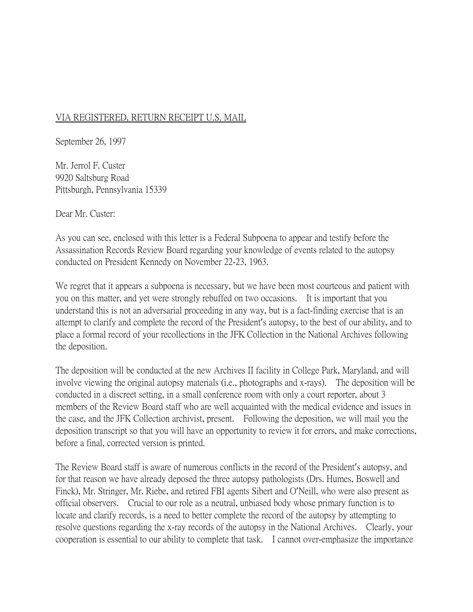## VIA REGISTERED, RETURN RECEIPT U.S. MAIL

September 26, 1997

Mr. Jerrol F. Custer 9920 Saltsburg Road Pittsburgh, Pennsylvania 15339

Dear Mr. Custer:

As you can see, enclosed with this letter is a Federal Subpoena to appear and testify before the Assassination Records Review Board regarding your knowledge of events related to the autopsy conducted on President Kennedy on November 22-23, 1963.

We regret that it appears a subpoena is necessary, but we have been most courteous and patient with you on this matter, and yet were strongly rebuffed on two occasions. It is important that you understand this is not an adversarial proceeding in any way, but is a fact-finding exercise that is an attempt to clarify and complete the record of the President's autopsy, to the best of our ability, and to place a formal record of your recollections in the JFK Collection in the National Archives following the deposition.

The deposition will be conducted at the new Archives II facility in College Park, Maryland, and will involve viewing the original autopsy materials (i.e., photographs and x-rays). The deposition will be conducted in a discreet setting, in a small conference room with only a court reporter, about 3 members of the Review Board staff who are well acquainted with the medical evidence and issues in the case, and the JFK Collection archivist, present. Following the deposition, we will mail you the deposition transcript so that you will have an opportunity to review it for errors, and make corrections, before a final, corrected version is printed.

The Review Board staff is aware of numerous conflicts in the record of the President's autopsy, and for that reason we have already deposed the three autopsy pathologists (Drs. Humes, Boswell and Finck), Mr. Stringer, Mr. Riebe, and retired FBI agents Sibert and O'Neill, who were also present as official observers. Crucial to our role as a neutral, unbiased body whose primary function is to locate and clarify records, is a need to better complete the record of the autopsy by attempting to resolve questions regarding the x-ray records of the autopsy in the National Archives. Clearly, your cooperation is essential to our ability to complete that task. I cannot over-emphasize the importance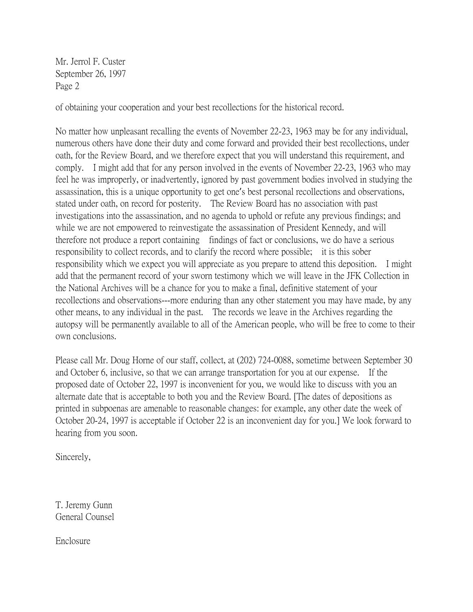Mr. Jerrol F. Custer September 26, 1997 Page 2

of obtaining your cooperation and your best recollections for the historical record.

No matter how unpleasant recalling the events of November 22-23, 1963 may be for any individual, numerous others have done their duty and come forward and provided their best recollections, under oath, for the Review Board, and we therefore expect that you will understand this requirement, and comply. I might add that for any person involved in the events of November 22-23, 1963 who may feel he was improperly, or inadvertently, ignored by past government bodies involved in studying the assassination, this is a unique opportunity to get one's best personal recollections and observations, stated under oath, on record for posterity. The Review Board has no association with past investigations into the assassination, and no agenda to uphold or refute any previous findings; and while we are not empowered to reinvestigate the assassination of President Kennedy, and will therefore not produce a report containing findings of fact or conclusions, we do have a serious responsibility to collect records, and to clarify the record where possible; it is this sober responsibility which we expect you will appreciate as you prepare to attend this deposition. I might add that the permanent record of your sworn testimony which we will leave in the JFK Collection in the National Archives will be a chance for you to make a final, definitive statement of your recollections and observations---more enduring than any other statement you may have made, by any other means, to any individual in the past. The records we leave in the Archives regarding the autopsy will be permanently available to all of the American people, who will be free to come to their own conclusions.

Please call Mr. Doug Horne of our staff, collect, at (202) 724-0088, sometime between September 30 and October 6, inclusive, so that we can arrange transportation for you at our expense. If the proposed date of October 22, 1997 is inconvenient for you, we would like to discuss with you an alternate date that is acceptable to both you and the Review Board. [The dates of depositions as printed in subpoenas are amenable to reasonable changes: for example, any other date the week of October 20-24, 1997 is acceptable if October 22 is an inconvenient day for you.] We look forward to hearing from you soon.

Sincerely,

T. Jeremy Gunn General Counsel

Enclosure